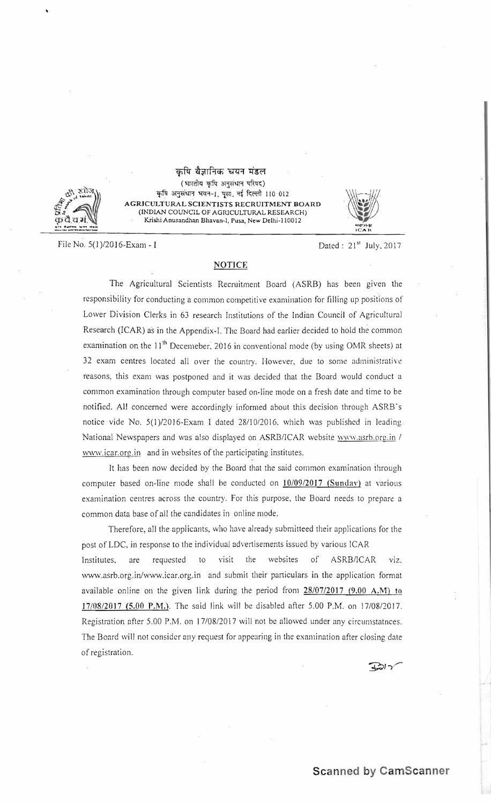## कृषि वैज्ञानिक चयन मंडल



(भारतीय कृषि अनुसंधान परिषद) कृषि अनुसंधान भवन-1, पूसा, नई दिल्ली 110 012 AGRICULTURAL SCIENTISTS RECRUITMENT BOARD<br>
(INDIAN COUNCIL OF AGRICULTURAL RESEARCH) NDIAN COUNCIL OF AGRICULTURAL RESEARCH)<br>Krishi Anusandhan Bhavan-1, Pusa, New Delhi-110012 COUNCIL OF AGRlCULTURAL RESEARCH)



File No. 5(1)/2016-Exam - I Dated: 21<sup>st</sup> July, 2017

## **NOTICE**

The Agricultural Scientists Recruitment Board (ASRB) has been given the responsibility for conducting a common competitive examination for filling up positions of Lower Division Clerks in 63 research Institutions of the Indian Council of Agricultural Research (lCAR) as in the Appendix-I. The Board had earlier decided to hold the common examination on the 11<sup>th</sup> Decemeber, 2016 in conventional mode (by using OMR sheets) at 32 exam centres located all over the country. However, due to some administrative reasons, this exam was postponed and it was decided that the Board would conduct a common examination through computer based on-line mode on a fresh date and time to be notified. All concerned were accordingly informed about this decision through ASRB's notice vide No. 5(1)/2016-Exam I dated 28/10/2016, which was published in leading. National Newspapers and was also displayed on ASRBI1CAR website www.asrh.ore.in *1*  www.icar.org.in and in websites of the participating institutes.

It has been now decided by the Board that the said common examination through computer based on-line mode shall be conducted on  $10/09/2017$  (Sunday) at various examination centres across the country. For this purpose, the Board needs to prepare a common data base of all the candidates in online mode.

Therefore, all the applicants, who have already submitteed their applications for the post of LDC, in response to the individual advertisements issued by various ICAR Institutes, are requested to visit the websites of ASRB/ICAR VIZ. www.asrb.org.in/www.icar.org.in and submit their particulars in the application format available online on the given link during the period from  $28/07/2017$  (9.00 A.M) to 17/08/2017 (5.00 P.M.). The said link will be disabled after 5.00 P.M. on 17/08/2017. Registration after 5.00 P.M. on 17/08/2017 will not be allowed under any circumstatnces. The Board will not consider any request for appearing in the examination after closing date of registration.

<sup>9</sup>*'1'-*